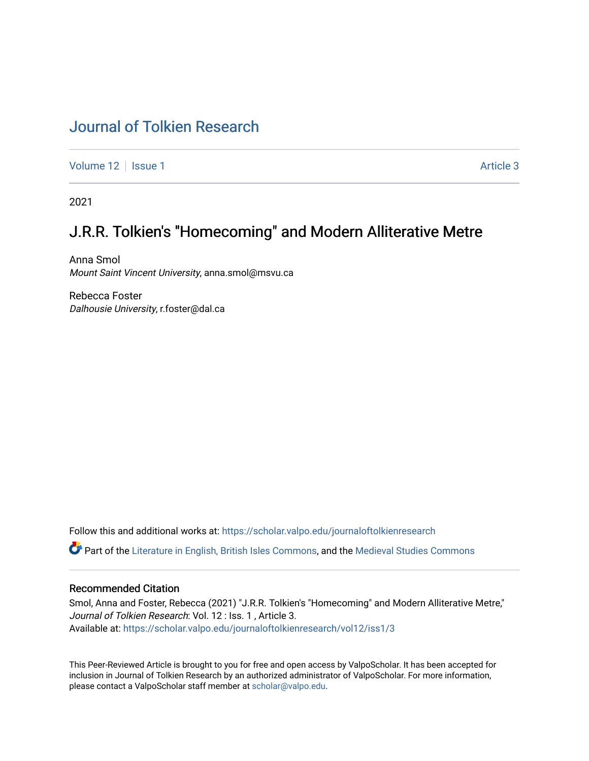# [Journal of Tolkien Research](https://scholar.valpo.edu/journaloftolkienresearch)

[Volume 12](https://scholar.valpo.edu/journaloftolkienresearch/vol12) | [Issue 1](https://scholar.valpo.edu/journaloftolkienresearch/vol12/iss1) Article 3

2021

# J.R.R. Tolkien's "Homecoming" and Modern Alliterative Metre

Anna Smol Mount Saint Vincent University, anna.smol@msvu.ca

Rebecca Foster Dalhousie University, r.foster@dal.ca

Follow this and additional works at: [https://scholar.valpo.edu/journaloftolkienresearch](https://scholar.valpo.edu/journaloftolkienresearch?utm_source=scholar.valpo.edu%2Fjournaloftolkienresearch%2Fvol12%2Fiss1%2F3&utm_medium=PDF&utm_campaign=PDFCoverPages) 

Part of the [Literature in English, British Isles Commons](http://network.bepress.com/hgg/discipline/456?utm_source=scholar.valpo.edu%2Fjournaloftolkienresearch%2Fvol12%2Fiss1%2F3&utm_medium=PDF&utm_campaign=PDFCoverPages), and the [Medieval Studies Commons](http://network.bepress.com/hgg/discipline/480?utm_source=scholar.valpo.edu%2Fjournaloftolkienresearch%2Fvol12%2Fiss1%2F3&utm_medium=PDF&utm_campaign=PDFCoverPages) 

#### Recommended Citation

Smol, Anna and Foster, Rebecca (2021) "J.R.R. Tolkien's "Homecoming" and Modern Alliterative Metre," Journal of Tolkien Research: Vol. 12 : Iss. 1 , Article 3. Available at: [https://scholar.valpo.edu/journaloftolkienresearch/vol12/iss1/3](https://scholar.valpo.edu/journaloftolkienresearch/vol12/iss1/3?utm_source=scholar.valpo.edu%2Fjournaloftolkienresearch%2Fvol12%2Fiss1%2F3&utm_medium=PDF&utm_campaign=PDFCoverPages) 

This Peer-Reviewed Article is brought to you for free and open access by ValpoScholar. It has been accepted for inclusion in Journal of Tolkien Research by an authorized administrator of ValpoScholar. For more information, please contact a ValpoScholar staff member at [scholar@valpo.edu](mailto:scholar@valpo.edu).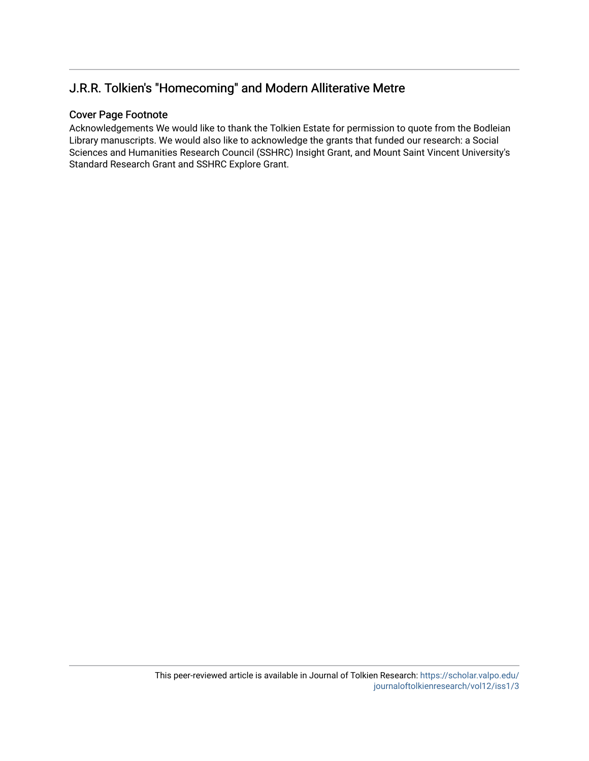## J.R.R. Tolkien's "Homecoming" and Modern Alliterative Metre

### Cover Page Footnote

Acknowledgements We would like to thank the Tolkien Estate for permission to quote from the Bodleian Library manuscripts. We would also like to acknowledge the grants that funded our research: a Social Sciences and Humanities Research Council (SSHRC) Insight Grant, and Mount Saint Vincent University's Standard Research Grant and SSHRC Explore Grant.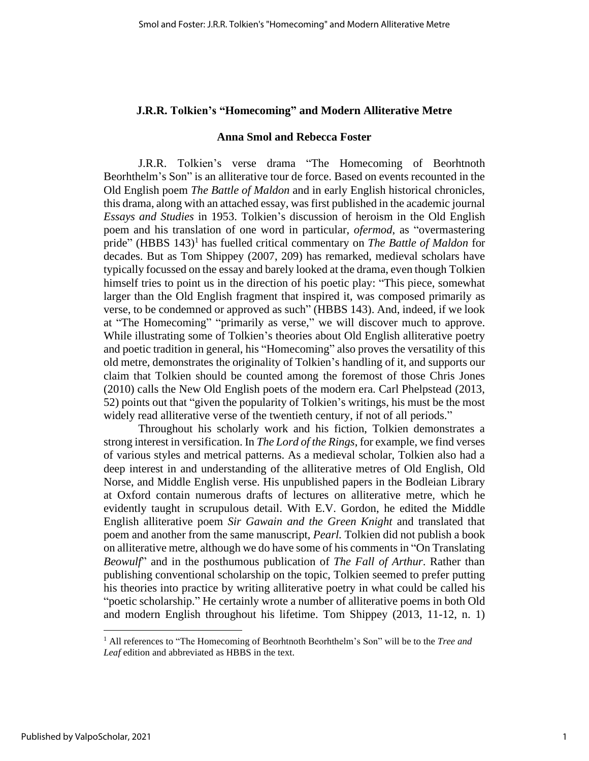### **J.R.R. Tolkien's "Homecoming" and Modern Alliterative Metre**

#### **Anna Smol and Rebecca Foster**

J.R.R. Tolkien's verse drama "The Homecoming of Beorhtnoth Beorhthelm's Son" is an alliterative tour de force. Based on events recounted in the Old English poem *The Battle of Maldon* and in early English historical chronicles, this drama, along with an attached essay, was first published in the academic journal *Essays and Studies* in 1953. Tolkien's discussion of heroism in the Old English poem and his translation of one word in particular, *ofermod*, as "overmastering pride" (HBBS 143)<sup>1</sup> has fuelled critical commentary on *The Battle of Maldon* for decades. But as Tom Shippey (2007, 209) has remarked, medieval scholars have typically focussed on the essay and barely looked at the drama, even though Tolkien himself tries to point us in the direction of his poetic play: "This piece, somewhat larger than the Old English fragment that inspired it, was composed primarily as verse, to be condemned or approved as such" (HBBS 143). And, indeed, if we look at "The Homecoming" "primarily as verse," we will discover much to approve. While illustrating some of Tolkien's theories about Old English alliterative poetry and poetic tradition in general, his "Homecoming" also proves the versatility of this old metre, demonstrates the originality of Tolkien's handling of it, and supports our claim that Tolkien should be counted among the foremost of those Chris Jones (2010) calls the New Old English poets of the modern era. Carl Phelpstead (2013, 52) points out that "given the popularity of Tolkien's writings, his must be the most widely read alliterative verse of the twentieth century, if not of all periods."

Throughout his scholarly work and his fiction, Tolkien demonstrates a strong interest in versification. In *The Lord of the Rings*, for example, we find verses of various styles and metrical patterns. As a medieval scholar, Tolkien also had a deep interest in and understanding of the alliterative metres of Old English, Old Norse, and Middle English verse. His unpublished papers in the Bodleian Library at Oxford contain numerous drafts of lectures on alliterative metre, which he evidently taught in scrupulous detail. With E.V. Gordon, he edited the Middle English alliterative poem *Sir Gawain and the Green Knight* and translated that poem and another from the same manuscript, *Pearl.* Tolkien did not publish a book on alliterative metre, although we do have some of his commentsin "On Translating *Beowulf*" and in the posthumous publication of *The Fall of Arthur*. Rather than publishing conventional scholarship on the topic, Tolkien seemed to prefer putting his theories into practice by writing alliterative poetry in what could be called his "poetic scholarship." He certainly wrote a number of alliterative poems in both Old and modern English throughout his lifetime. Tom Shippey (2013, 11-12, n. 1)

<sup>1</sup> All references to "The Homecoming of Beorhtnoth Beorhthelm's Son" will be to the *Tree and Leaf* edition and abbreviated as HBBS in the text.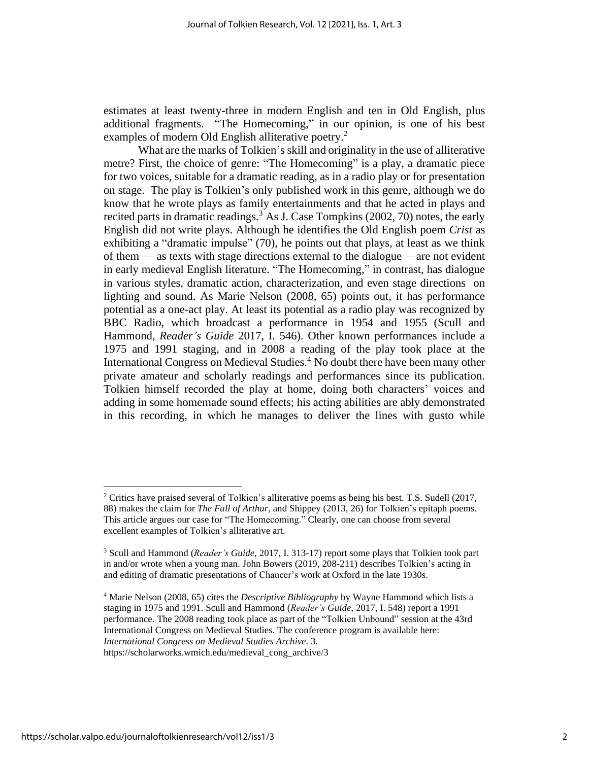estimates at least twenty-three in modern English and ten in Old English, plus additional fragments. "The Homecoming," in our opinion, is one of his best examples of modern Old English alliterative poetry.<sup>2</sup>

What are the marks of Tolkien's skill and originality in the use of alliterative metre? First, the choice of genre: "The Homecoming" is a play, a dramatic piece for two voices, suitable for a dramatic reading, as in a radio play or for presentation on stage. The play is Tolkien's only published work in this genre, although we do know that he wrote plays as family entertainments and that he acted in plays and recited parts in dramatic readings.<sup>3</sup> As J. Case Tompkins (2002, 70) notes, the early English did not write plays. Although he identifies the Old English poem *Crist* as exhibiting a "dramatic impulse" (70), he points out that plays, at least as we think of them — as texts with stage directions external to the dialogue —are not evident in early medieval English literature. "The Homecoming," in contrast, has dialogue in various styles, dramatic action, characterization, and even stage directions on lighting and sound. As Marie Nelson (2008, 65) points out, it has performance potential as a one-act play. At least its potential as a radio play was recognized by BBC Radio, which broadcast a performance in 1954 and 1955 (Scull and Hammond, *Reader's Guide* 2017, I. 546). Other known performances include a 1975 and 1991 staging, and in 2008 a reading of the play took place at the International Congress on Medieval Studies.<sup>4</sup> No doubt there have been many other private amateur and scholarly readings and performances since its publication. Tolkien himself recorded the play at home, doing both characters' voices and adding in some homemade sound effects; his acting abilities are ably demonstrated in this recording, in which he manages to deliver the lines with gusto while

<sup>2</sup> Critics have praised several of Tolkien's alliterative poems as being his best. T.S. Sudell (2017, 88) makes the claim for *The Fall of Arthur*, and Shippey (2013, 26) for Tolkien's epitaph poems. This article argues our case for "The Homecoming." Clearly, one can choose from several excellent examples of Tolkien's alliterative art.

<sup>3</sup> Scull and Hammond (*Reader's Guide*, 2017, I. 313-17) report some plays that Tolkien took part in and/or wrote when a young man. John Bowers (2019, 208-211) describes Tolkien's acting in and editing of dramatic presentations of Chaucer's work at Oxford in the late 1930s.

<sup>4</sup> Marie Nelson (2008, 65) cites the *Descriptive Bibliography* by Wayne Hammond which lists a staging in 1975 and 1991. Scull and Hammond (*Reader's Guide*, 2017, I. 548) report a 1991 performance. The 2008 reading took place as part of the "Tolkien Unbound" session at the 43rd International Congress on Medieval Studies. The conference program is available here: *International Congress on Medieval Studies Archive*. 3.

https://scholarworks.wmich.edu/medieval\_cong\_archive/3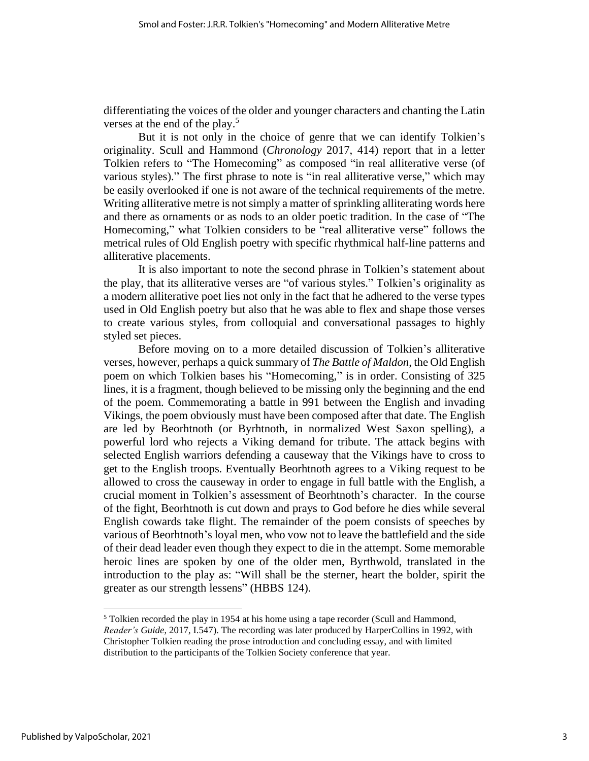differentiating the voices of the older and younger characters and chanting the Latin verses at the end of the play.<sup>5</sup>

But it is not only in the choice of genre that we can identify Tolkien's originality. Scull and Hammond (*Chronology* 2017, 414) report that in a letter Tolkien refers to "The Homecoming" as composed "in real alliterative verse (of various styles)." The first phrase to note is "in real alliterative verse," which may be easily overlooked if one is not aware of the technical requirements of the metre. Writing alliterative metre is not simply a matter of sprinkling alliterating words here and there as ornaments or as nods to an older poetic tradition. In the case of "The Homecoming," what Tolkien considers to be "real alliterative verse" follows the metrical rules of Old English poetry with specific rhythmical half-line patterns and alliterative placements.

It is also important to note the second phrase in Tolkien's statement about the play, that its alliterative verses are "of various styles." Tolkien's originality as a modern alliterative poet lies not only in the fact that he adhered to the verse types used in Old English poetry but also that he was able to flex and shape those verses to create various styles, from colloquial and conversational passages to highly styled set pieces.

Before moving on to a more detailed discussion of Tolkien's alliterative verses, however, perhaps a quick summary of *The Battle of Maldon*, the Old English poem on which Tolkien bases his "Homecoming," is in order. Consisting of 325 lines, it is a fragment, though believed to be missing only the beginning and the end of the poem. Commemorating a battle in 991 between the English and invading Vikings, the poem obviously must have been composed after that date. The English are led by Beorhtnoth (or Byrhtnoth, in normalized West Saxon spelling), a powerful lord who rejects a Viking demand for tribute. The attack begins with selected English warriors defending a causeway that the Vikings have to cross to get to the English troops. Eventually Beorhtnoth agrees to a Viking request to be allowed to cross the causeway in order to engage in full battle with the English, a crucial moment in Tolkien's assessment of Beorhtnoth's character. In the course of the fight, Beorhtnoth is cut down and prays to God before he dies while several English cowards take flight. The remainder of the poem consists of speeches by various of Beorhtnoth's loyal men, who vow not to leave the battlefield and the side of their dead leader even though they expect to die in the attempt. Some memorable heroic lines are spoken by one of the older men, Byrthwold, translated in the introduction to the play as: "Will shall be the sterner, heart the bolder, spirit the greater as our strength lessens" (HBBS 124).

<sup>&</sup>lt;sup>5</sup> Tolkien recorded the play in 1954 at his home using a tape recorder (Scull and Hammond, *Reader's Guide*, 2017, I.547). The recording was later produced by HarperCollins in 1992, with Christopher Tolkien reading the prose introduction and concluding essay, and with limited distribution to the participants of the Tolkien Society conference that year.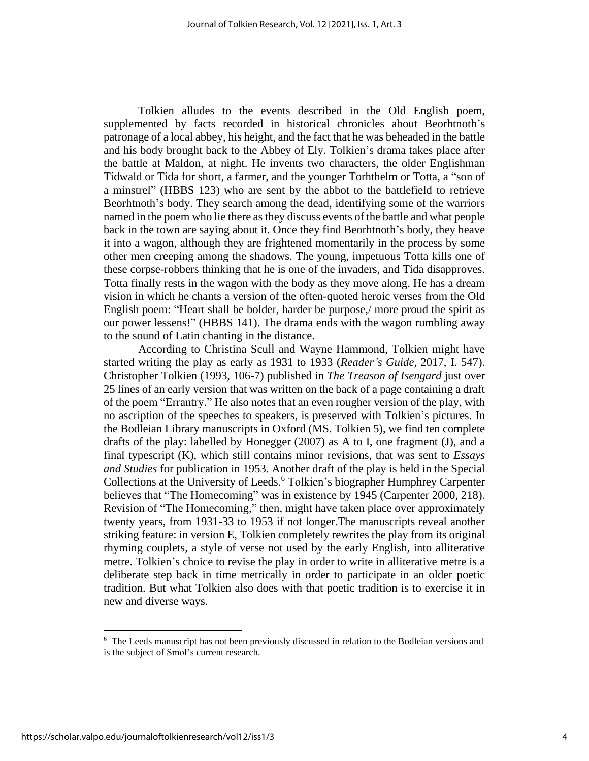Tolkien alludes to the events described in the Old English poem, supplemented by facts recorded in historical chronicles about Beorhtnoth's patronage of a local abbey, his height, and the fact that he was beheaded in the battle and his body brought back to the Abbey of Ely. Tolkien's drama takes place after the battle at Maldon, at night. He invents two characters, the older Englishman Tídwald or Tída for short, a farmer, and the younger Torhthelm or Totta, a "son of a minstrel" (HBBS 123) who are sent by the abbot to the battlefield to retrieve Beorhtnoth's body. They search among the dead, identifying some of the warriors named in the poem who lie there as they discuss events of the battle and what people back in the town are saying about it. Once they find Beorhtnoth's body, they heave it into a wagon, although they are frightened momentarily in the process by some other men creeping among the shadows. The young, impetuous Totta kills one of these corpse-robbers thinking that he is one of the invaders, and Tída disapproves. Totta finally rests in the wagon with the body as they move along. He has a dream vision in which he chants a version of the often-quoted heroic verses from the Old English poem: "Heart shall be bolder, harder be purpose,/ more proud the spirit as our power lessens!" (HBBS 141). The drama ends with the wagon rumbling away to the sound of Latin chanting in the distance.

According to Christina Scull and Wayne Hammond, Tolkien might have started writing the play as early as 1931 to 1933 (*Reader's Guide,* 2017, I. 547). Christopher Tolkien (1993, 106-7) published in *The Treason of Isengard* just over 25 lines of an early version that was written on the back of a page containing a draft of the poem "Errantry." He also notes that an even rougher version of the play, with no ascription of the speeches to speakers, is preserved with Tolkien's pictures. In the Bodleian Library manuscripts in Oxford (MS. Tolkien 5), we find ten complete drafts of the play: labelled by Honegger (2007) as A to I, one fragment (J), and a final typescript (K), which still contains minor revisions, that was sent to *Essays and Studies* for publication in 1953. Another draft of the play is held in the Special Collections at the University of Leeds.<sup>6</sup> Tolkien's biographer Humphrey Carpenter believes that "The Homecoming" was in existence by 1945 (Carpenter 2000, 218). Revision of "The Homecoming," then, might have taken place over approximately twenty years, from 1931-33 to 1953 if not longer.The manuscripts reveal another striking feature: in version E, Tolkien completely rewrites the play from its original rhyming couplets, a style of verse not used by the early English, into alliterative metre. Tolkien's choice to revise the play in order to write in alliterative metre is a deliberate step back in time metrically in order to participate in an older poetic tradition. But what Tolkien also does with that poetic tradition is to exercise it in new and diverse ways.

<sup>&</sup>lt;sup>6</sup> The Leeds manuscript has not been previously discussed in relation to the Bodleian versions and is the subject of Smol's current research.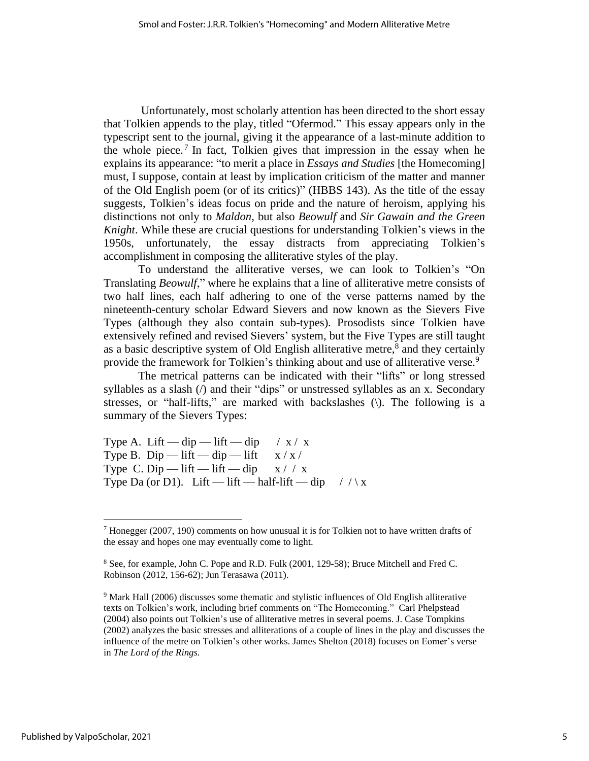Unfortunately, most scholarly attention has been directed to the short essay that Tolkien appends to the play, titled "Ofermod." This essay appears only in the typescript sent to the journal, giving it the appearance of a last-minute addition to the whole piece.<sup>7</sup> In fact, Tolkien gives that impression in the essay when he explains its appearance: "to merit a place in *Essays and Studies* [the Homecoming] must, I suppose, contain at least by implication criticism of the matter and manner of the Old English poem (or of its critics)" (HBBS 143). As the title of the essay suggests, Tolkien's ideas focus on pride and the nature of heroism, applying his distinctions not only to *Maldon*, but also *Beowulf* and *Sir Gawain and the Green Knight*. While these are crucial questions for understanding Tolkien's views in the 1950s, unfortunately, the essay distracts from appreciating Tolkien's accomplishment in composing the alliterative styles of the play.

To understand the alliterative verses, we can look to Tolkien's "On Translating *Beowulf*," where he explains that a line of alliterative metre consists of two half lines, each half adhering to one of the verse patterns named by the nineteenth-century scholar Edward Sievers and now known as the Sievers Five Types (although they also contain sub-types). Prosodists since Tolkien have extensively refined and revised Sievers' system, but the Five Types are still taught as a basic descriptive system of Old English alliterative metre, $\delta$  and they certainly provide the framework for Tolkien's thinking about and use of alliterative verse.<sup>9</sup>

The metrical patterns can be indicated with their "lifts" or long stressed syllables as a slash (*/*) and their "dips" or unstressed syllables as an x. Secondary stresses, or "half-lifts," are marked with backslashes  $(\cdot)$ . The following is a summary of the Sievers Types:

Type A. Lift — dip — lift — dip  $\frac{\pi}{x}$  / x / x Type B. Dip — lift — dip — lift  $x / x /$ Type C. Dip — lift — lift — dip  $x / / x$ Type Da (or D1). Lift — lift — half-lift — dip  $//x$ 

 $<sup>7</sup>$  Honegger (2007, 190) comments on how unusual it is for Tolkien not to have written drafts of</sup> the essay and hopes one may eventually come to light.

<sup>8</sup> See, for example, John C. Pope and R.D. Fulk (2001, 129-58); Bruce Mitchell and Fred C. Robinson (2012, 156-62); Jun Terasawa (2011).

<sup>&</sup>lt;sup>9</sup> Mark Hall (2006) discusses some thematic and stylistic influences of Old English alliterative texts on Tolkien's work, including brief comments on "The Homecoming." Carl Phelpstead (2004) also points out Tolkien's use of alliterative metres in several poems. J. Case Tompkins (2002) analyzes the basic stresses and alliterations of a couple of lines in the play and discusses the influence of the metre on Tolkien's other works. James Shelton (2018) focuses on Eomer's verse in *The Lord of the Rings*.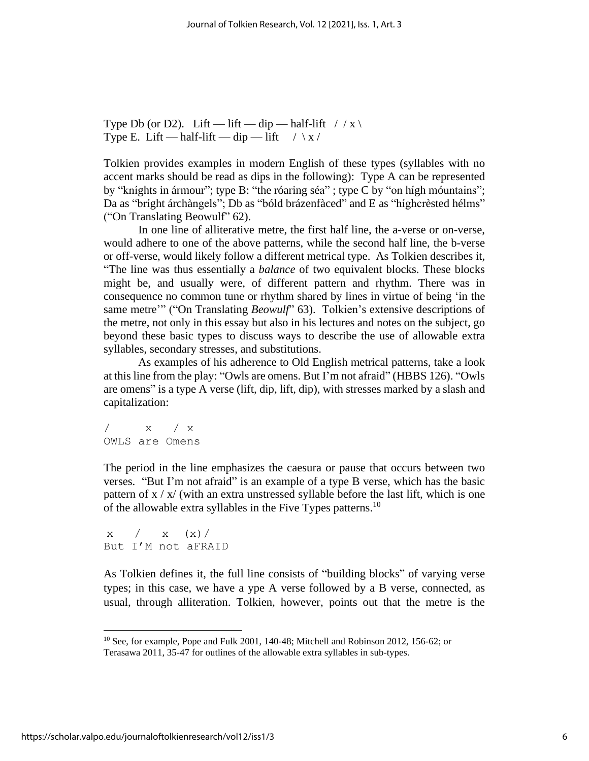Type Db (or D2). Lift — lift — dip — half-lift  $/ / x \$ Type E. Lift — half-lift — dip — lift  $/ \chi /$ 

Tolkien provides examples in modern English of these types (syllables with no accent marks should be read as dips in the following): Type A can be represented by "kníghts in ármour"; type B: "the róaring séa" ; type C by "on hígh móuntains"; Da as "bríght árchàngels"; Db as "bóld brázenfàced" and E as "híghcrèsted hélms" ("On Translating Beowulf" 62).

In one line of alliterative metre, the first half line, the a-verse or on-verse, would adhere to one of the above patterns, while the second half line, the b-verse or off-verse, would likely follow a different metrical type. As Tolkien describes it, "The line was thus essentially a *balance* of two equivalent blocks. These blocks might be, and usually were, of different pattern and rhythm. There was in consequence no common tune or rhythm shared by lines in virtue of being 'in the same metre'" ("On Translating *Beowulf*" 63). Tolkien's extensive descriptions of the metre, not only in this essay but also in his lectures and notes on the subject, go beyond these basic types to discuss ways to describe the use of allowable extra syllables, secondary stresses, and substitutions.

As examples of his adherence to Old English metrical patterns, take a look at this line from the play: "Owls are omens. But I'm not afraid" (HBBS 126). "Owls are omens" is a type A verse (lift, dip, lift, dip), with stresses marked by a slash and capitalization:

 $\mathbf{x}$  /  $\mathbf{x}$ OWLS are Omens

The period in the line emphasizes the caesura or pause that occurs between two verses. "But I'm not afraid" is an example of a type B verse, which has the basic pattern of  $x / x / (with an extra unstressed syllable before the last lift, which is one$ of the allowable extra syllables in the Five Types patterns.<sup>10</sup>

 $x / x (x) /$ But I'M not aFRAID

As Tolkien defines it, the full line consists of "building blocks" of varying verse types; in this case, we have a ype A verse followed by a B verse, connected, as usual, through alliteration. Tolkien, however, points out that the metre is the

<sup>&</sup>lt;sup>10</sup> See, for example, Pope and Fulk 2001, 140-48; Mitchell and Robinson 2012, 156-62; or Terasawa 2011, 35-47 for outlines of the allowable extra syllables in sub-types.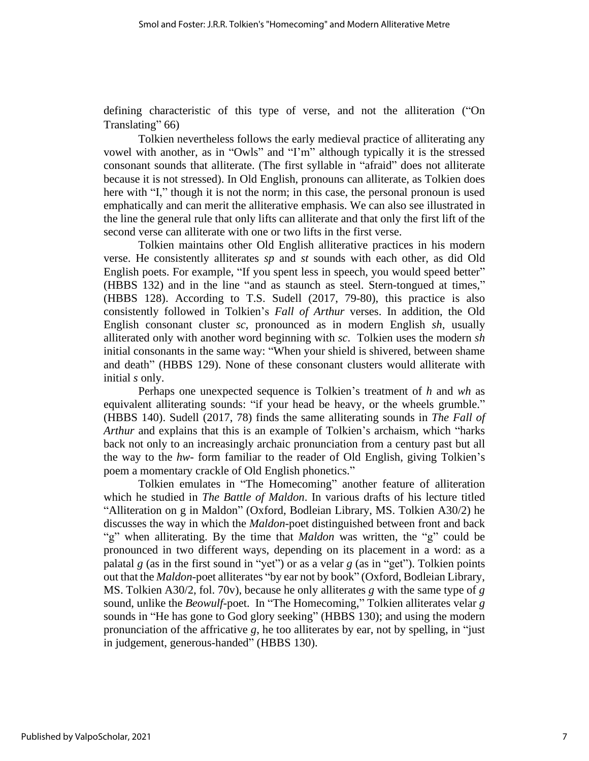defining characteristic of this type of verse, and not the alliteration ("On Translating" 66)

Tolkien nevertheless follows the early medieval practice of alliterating any vowel with another, as in "Owls" and "I'm" although typically it is the stressed consonant sounds that alliterate. (The first syllable in "afraid" does not alliterate because it is not stressed). In Old English, pronouns can alliterate, as Tolkien does here with "I," though it is not the norm; in this case, the personal pronoun is used emphatically and can merit the alliterative emphasis. We can also see illustrated in the line the general rule that only lifts can alliterate and that only the first lift of the second verse can alliterate with one or two lifts in the first verse.

Tolkien maintains other Old English alliterative practices in his modern verse. He consistently alliterates *sp* and *st* sounds with each other, as did Old English poets. For example, "If you spent less in speech, you would speed better" (HBBS 132) and in the line "and as staunch as steel. Stern-tongued at times," (HBBS 128). According to T.S. Sudell (2017, 79-80), this practice is also consistently followed in Tolkien's *Fall of Arthur* verses. In addition, the Old English consonant cluster *sc*, pronounced as in modern English *sh,* usually alliterated only with another word beginning with *sc*. Tolkien uses the modern *sh* initial consonants in the same way: "When your shield is shivered, between shame and death" (HBBS 129). None of these consonant clusters would alliterate with initial *s* only.

Perhaps one unexpected sequence is Tolkien's treatment of *h* and *wh* as equivalent alliterating sounds: "if your head be heavy, or the wheels grumble." (HBBS 140). Sudell (2017, 78) finds the same alliterating sounds in *The Fall of Arthur* and explains that this is an example of Tolkien's archaism, which "harks back not only to an increasingly archaic pronunciation from a century past but all the way to the *hw-* form familiar to the reader of Old English, giving Tolkien's poem a momentary crackle of Old English phonetics."

Tolkien emulates in "The Homecoming" another feature of alliteration which he studied in *The Battle of Maldon*. In various drafts of his lecture titled "Alliteration on g in Maldon" (Oxford, Bodleian Library, MS. Tolkien A30/2) he discusses the way in which the *Maldon*-poet distinguished between front and back "g" when alliterating. By the time that *Maldon* was written, the "g" could be pronounced in two different ways, depending on its placement in a word: as a palatal *g* (as in the first sound in "yet") or as a velar *g* (as in "get"). Tolkien points out that the *Maldon*-poet alliterates "by ear not by book" (Oxford, Bodleian Library, MS. Tolkien A30/2, fol. 70v), because he only alliterates *g* with the same type of *g* sound, unlike the *Beowulf*-poet. In "The Homecoming," Tolkien alliterates velar *g* sounds in "He has gone to God glory seeking" (HBBS 130); and using the modern pronunciation of the affricative *g*, he too alliterates by ear, not by spelling, in "just in judgement, generous-handed" (HBBS 130).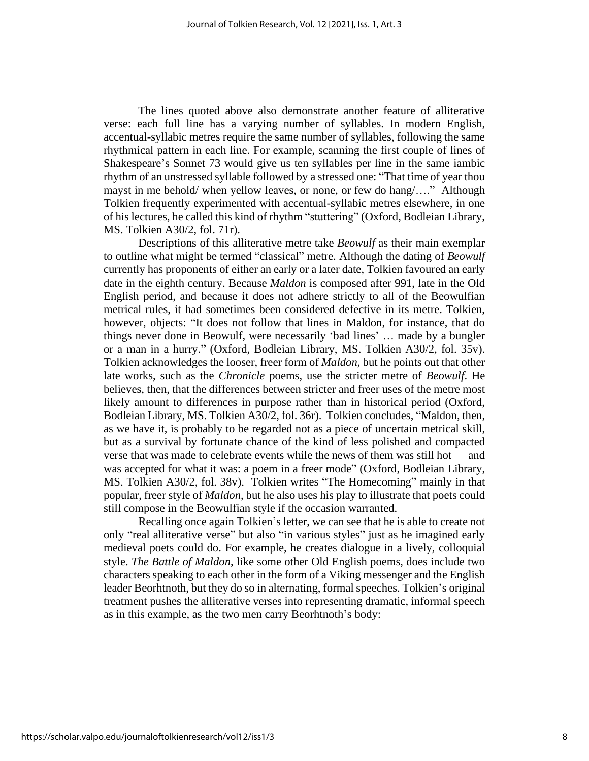The lines quoted above also demonstrate another feature of alliterative verse: each full line has a varying number of syllables. In modern English, accentual-syllabic metres require the same number of syllables, following the same rhythmical pattern in each line. For example, scanning the first couple of lines of Shakespeare's Sonnet 73 would give us ten syllables per line in the same iambic rhythm of an unstressed syllable followed by a stressed one: "That time of year thou mayst in me behold/ when yellow leaves, or none, or few do hang/…." Although Tolkien frequently experimented with accentual-syllabic metres elsewhere, in one of his lectures, he called this kind of rhythm "stuttering" (Oxford, Bodleian Library, MS. Tolkien A30/2, fol. 71r).

Descriptions of this alliterative metre take *Beowulf* as their main exemplar to outline what might be termed "classical" metre. Although the dating of *Beowulf* currently has proponents of either an early or a later date, Tolkien favoured an early date in the eighth century. Because *Maldon* is composed after 991, late in the Old English period, and because it does not adhere strictly to all of the Beowulfian metrical rules, it had sometimes been considered defective in its metre. Tolkien, however, objects: "It does not follow that lines in Maldon, for instance, that do things never done in Beowulf, were necessarily 'bad lines' … made by a bungler or a man in a hurry." (Oxford, Bodleian Library, MS. Tolkien A30/2, fol. 35v). Tolkien acknowledges the looser, freer form of *Maldon,* but he points out that other late works, such as the *Chronicle* poems, use the stricter metre of *Beowulf*. He believes, then, that the differences between stricter and freer uses of the metre most likely amount to differences in purpose rather than in historical period (Oxford, Bodleian Library, MS. Tolkien A30/2, fol. 36r). Tolkien concludes, "Maldon, then, as we have it, is probably to be regarded not as a piece of uncertain metrical skill, but as a survival by fortunate chance of the kind of less polished and compacted verse that was made to celebrate events while the news of them was still hot — and was accepted for what it was: a poem in a freer mode" (Oxford, Bodleian Library, MS. Tolkien A30/2, fol. 38v). Tolkien writes "The Homecoming" mainly in that popular, freer style of *Maldon*, but he also uses his play to illustrate that poets could still compose in the Beowulfian style if the occasion warranted.

Recalling once again Tolkien's letter, we can see that he is able to create not only "real alliterative verse" but also "in various styles" just as he imagined early medieval poets could do. For example, he creates dialogue in a lively, colloquial style. *The Battle of Maldon*, like some other Old English poems, does include two characters speaking to each other in the form of a Viking messenger and the English leader Beorhtnoth, but they do so in alternating, formal speeches. Tolkien's original treatment pushes the alliterative verses into representing dramatic, informal speech as in this example, as the two men carry Beorhtnoth's body: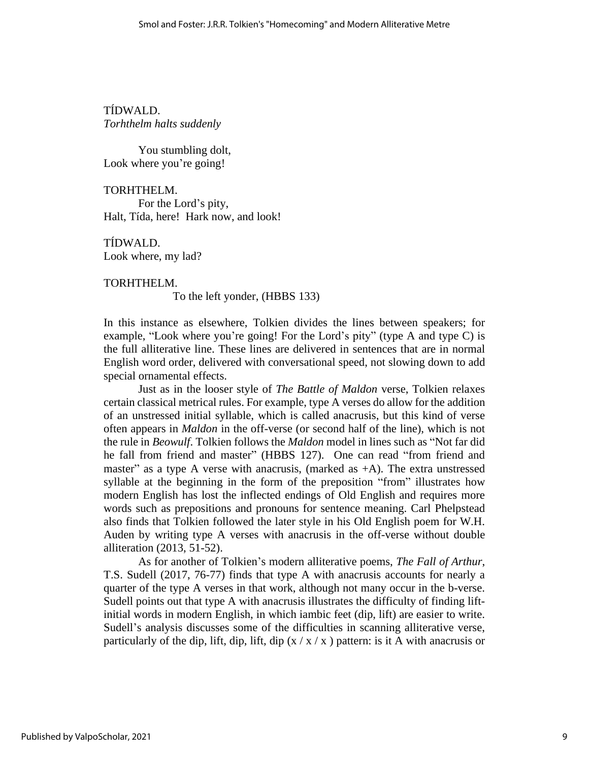TÍDWALD. *Torhthelm halts suddenly*

 You stumbling dolt, Look where you're going!

TORHTHELM. For the Lord's pity, Halt, Tída, here! Hark now, and look!

TÍDWALD. Look where, my lad?

TORHTHELM. To the left yonder, (HBBS 133)

In this instance as elsewhere, Tolkien divides the lines between speakers; for example, "Look where you're going! For the Lord's pity" (type A and type C) is the full alliterative line. These lines are delivered in sentences that are in normal English word order, delivered with conversational speed, not slowing down to add special ornamental effects.

Just as in the looser style of *The Battle of Maldon* verse, Tolkien relaxes certain classical metrical rules. For example, type A verses do allow for the addition of an unstressed initial syllable, which is called anacrusis, but this kind of verse often appears in *Maldon* in the off-verse (or second half of the line), which is not the rule in *Beowulf*. Tolkien follows the *Maldon* model in lines such as "Not far did he fall from friend and master" (HBBS 127). One can read "from friend and master" as a type A verse with anacrusis, (marked as  $+A$ ). The extra unstressed syllable at the beginning in the form of the preposition "from" illustrates how modern English has lost the inflected endings of Old English and requires more words such as prepositions and pronouns for sentence meaning. Carl Phelpstead also finds that Tolkien followed the later style in his Old English poem for W.H. Auden by writing type A verses with anacrusis in the off-verse without double alliteration (2013, 51-52).

As for another of Tolkien's modern alliterative poems, *The Fall of Arthur*, T.S. Sudell (2017, 76-77) finds that type A with anacrusis accounts for nearly a quarter of the type A verses in that work, although not many occur in the b-verse. Sudell points out that type A with anacrusis illustrates the difficulty of finding liftinitial words in modern English, in which iambic feet (dip, lift) are easier to write. Sudell's analysis discusses some of the difficulties in scanning alliterative verse, particularly of the dip, lift, dip, lift, dip  $(x / x / x)$  pattern: is it A with anacrusis or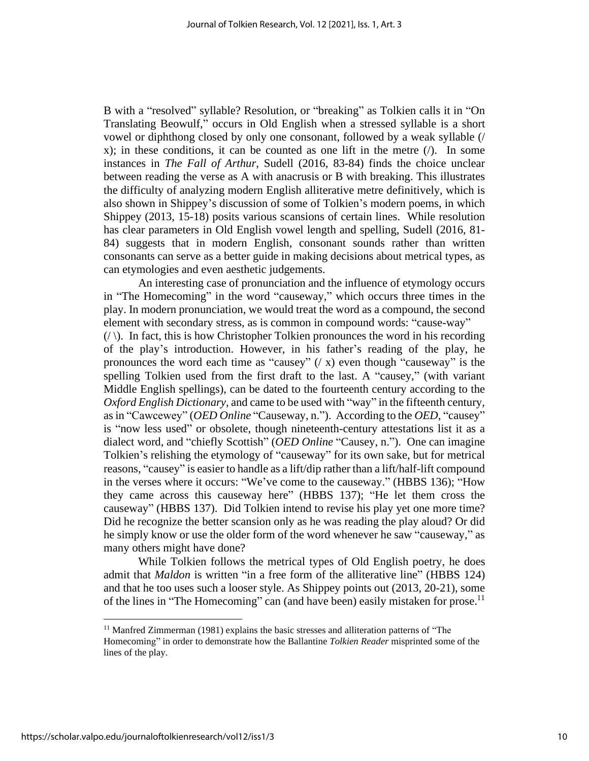B with a "resolved" syllable? Resolution, or "breaking" as Tolkien calls it in "On Translating Beowulf," occurs in Old English when a stressed syllable is a short vowel or diphthong closed by only one consonant, followed by a weak syllable (/ x); in these conditions, it can be counted as one lift in the metre  $\langle \cdot \rangle$ . In some instances in *The Fall of Arthur*, Sudell (2016, 83-84) finds the choice unclear between reading the verse as A with anacrusis or B with breaking. This illustrates the difficulty of analyzing modern English alliterative metre definitively, which is also shown in Shippey's discussion of some of Tolkien's modern poems, in which Shippey (2013, 15-18) posits various scansions of certain lines. While resolution has clear parameters in Old English vowel length and spelling, Sudell (2016, 81- 84) suggests that in modern English, consonant sounds rather than written consonants can serve as a better guide in making decisions about metrical types, as can etymologies and even aesthetic judgements.

An interesting case of pronunciation and the influence of etymology occurs in "The Homecoming" in the word "causeway," which occurs three times in the play. In modern pronunciation, we would treat the word as a compound, the second element with secondary stress, as is common in compound words: "cause-way"  $(\langle \rangle)$ . In fact, this is how Christopher Tolkien pronounces the word in his recording of the play's introduction. However, in his father's reading of the play, he pronounces the word each time as "causey"  $($  x) even though "causeway" is the spelling Tolkien used from the first draft to the last. A "causey," (with variant Middle English spellings), can be dated to the fourteenth century according to the *Oxford English Dictionary*, and came to be used with "way" in the fifteenth century, asin "Cawcewey" (*OED Online* "Causeway, n."). According to the *OED*, "causey" is "now less used" or obsolete, though nineteenth-century attestations list it as a dialect word, and "chiefly Scottish" (*OED Online* "Causey, n."). One can imagine Tolkien's relishing the etymology of "causeway" for its own sake, but for metrical reasons, "causey" is easier to handle as a lift/dip rather than a lift/half-lift compound in the verses where it occurs: "We've come to the causeway." (HBBS 136); "How they came across this causeway here" (HBBS 137); "He let them cross the causeway" (HBBS 137). Did Tolkien intend to revise his play yet one more time? Did he recognize the better scansion only as he was reading the play aloud? Or did he simply know or use the older form of the word whenever he saw "causeway," as many others might have done?

While Tolkien follows the metrical types of Old English poetry, he does admit that *Maldon* is written "in a free form of the alliterative line" (HBBS 124) and that he too uses such a looser style. As Shippey points out (2013, 20-21), some of the lines in "The Homecoming" can (and have been) easily mistaken for prose.<sup>11</sup>

<sup>&</sup>lt;sup>11</sup> Manfred Zimmerman (1981) explains the basic stresses and alliteration patterns of "The Homecoming" in order to demonstrate how the Ballantine *Tolkien Reader* misprinted some of the lines of the play.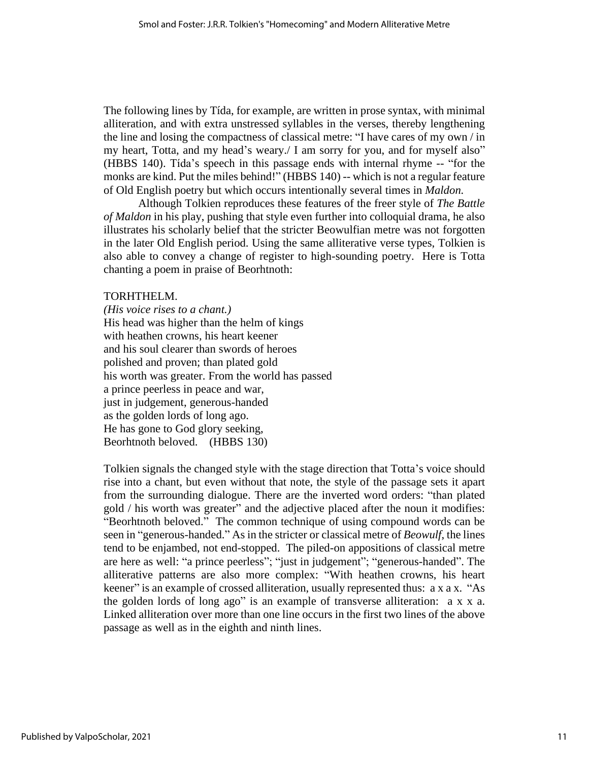The following lines by Tída, for example, are written in prose syntax, with minimal alliteration, and with extra unstressed syllables in the verses, thereby lengthening the line and losing the compactness of classical metre: "I have cares of my own / in my heart, Totta, and my head's weary./ I am sorry for you, and for myself also" (HBBS 140). Tída's speech in this passage ends with internal rhyme -- "for the monks are kind. Put the miles behind!" (HBBS 140) -- which is not a regular feature of Old English poetry but which occurs intentionally several times in *Maldon.*

Although Tolkien reproduces these features of the freer style of *The Battle of Maldon* in his play, pushing that style even further into colloquial drama, he also illustrates his scholarly belief that the stricter Beowulfian metre was not forgotten in the later Old English period. Using the same alliterative verse types, Tolkien is also able to convey a change of register to high-sounding poetry. Here is Totta chanting a poem in praise of Beorhtnoth:

### TORHTHELM.

*(His voice rises to a chant.)* His head was higher than the helm of kings with heathen crowns, his heart keener and his soul clearer than swords of heroes polished and proven; than plated gold his worth was greater. From the world has passed a prince peerless in peace and war, just in judgement, generous-handed as the golden lords of long ago. He has gone to God glory seeking, Beorhtnoth beloved. (HBBS 130)

Tolkien signals the changed style with the stage direction that Totta's voice should rise into a chant, but even without that note, the style of the passage sets it apart from the surrounding dialogue. There are the inverted word orders: "than plated gold / his worth was greater" and the adjective placed after the noun it modifies: "Beorhtnoth beloved." The common technique of using compound words can be seen in "generous-handed." As in the stricter or classical metre of *Beowulf*, the lines tend to be enjambed, not end-stopped. The piled-on appositions of classical metre are here as well: "a prince peerless"; "just in judgement"; "generous-handed". The alliterative patterns are also more complex: "With heathen crowns, his heart keener" is an example of crossed alliteration, usually represented thus: a x a x. "As the golden lords of long ago" is an example of transverse alliteration: a x x a. Linked alliteration over more than one line occurs in the first two lines of the above passage as well as in the eighth and ninth lines.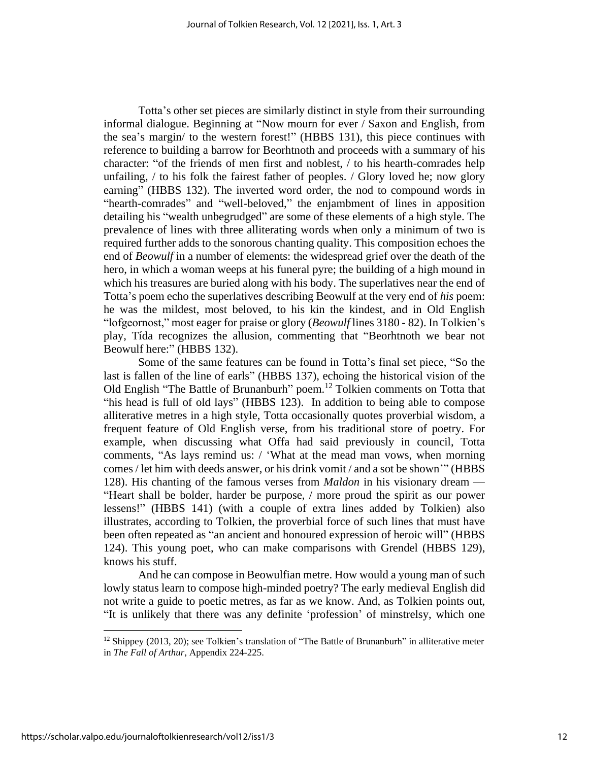Totta's other set pieces are similarly distinct in style from their surrounding informal dialogue. Beginning at "Now mourn for ever / Saxon and English, from the sea's margin/ to the western forest!" (HBBS 131), this piece continues with reference to building a barrow for Beorhtnoth and proceeds with a summary of his character: "of the friends of men first and noblest, / to his hearth-comrades help unfailing, / to his folk the fairest father of peoples. / Glory loved he; now glory earning" (HBBS 132). The inverted word order, the nod to compound words in "hearth-comrades" and "well-beloved," the enjambment of lines in apposition detailing his "wealth unbegrudged" are some of these elements of a high style. The prevalence of lines with three alliterating words when only a minimum of two is required further adds to the sonorous chanting quality. This composition echoes the end of *Beowulf* in a number of elements: the widespread grief over the death of the hero, in which a woman weeps at his funeral pyre; the building of a high mound in which his treasures are buried along with his body. The superlatives near the end of Totta's poem echo the superlatives describing Beowulf at the very end of *his* poem: he was the mildest, most beloved, to his kin the kindest, and in Old English "lofgeornost," most eager for praise or glory (*Beowulf* lines 3180 - 82). In Tolkien's play, Tída recognizes the allusion, commenting that "Beorhtnoth we bear not Beowulf here:" (HBBS 132).

Some of the same features can be found in Totta's final set piece, "So the last is fallen of the line of earls" (HBBS 137), echoing the historical vision of the Old English "The Battle of Brunanburh" poem.<sup>12</sup> Tolkien comments on Totta that "his head is full of old lays" (HBBS 123). In addition to being able to compose alliterative metres in a high style, Totta occasionally quotes proverbial wisdom, a frequent feature of Old English verse, from his traditional store of poetry. For example, when discussing what Offa had said previously in council, Totta comments, "As lays remind us: / 'What at the mead man vows, when morning comes / let him with deeds answer, or his drink vomit / and a sot be shown'" (HBBS 128). His chanting of the famous verses from *Maldon* in his visionary dream — "Heart shall be bolder, harder be purpose, / more proud the spirit as our power lessens!" (HBBS 141) (with a couple of extra lines added by Tolkien) also illustrates, according to Tolkien, the proverbial force of such lines that must have been often repeated as "an ancient and honoured expression of heroic will" (HBBS 124). This young poet, who can make comparisons with Grendel (HBBS 129), knows his stuff.

And he can compose in Beowulfian metre. How would a young man of such lowly status learn to compose high-minded poetry? The early medieval English did not write a guide to poetic metres, as far as we know. And, as Tolkien points out, "It is unlikely that there was any definite 'profession' of minstrelsy, which one

 $12$  Shippey (2013, 20); see Tolkien's translation of "The Battle of Brunanburh" in alliterative meter in *The Fall of Arthur*, Appendix 224-225.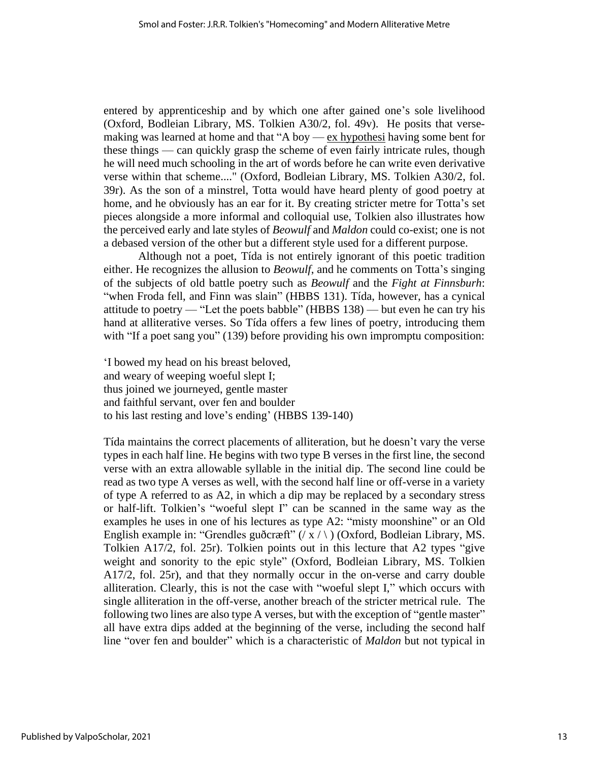entered by apprenticeship and by which one after gained one's sole livelihood (Oxford, Bodleian Library, MS. Tolkien A30/2, fol. 49v). He posits that versemaking was learned at home and that "A boy  $-\frac{ex}{ex}$  hypothesi having some bent for these things — can quickly grasp the scheme of even fairly intricate rules, though he will need much schooling in the art of words before he can write even derivative verse within that scheme...." (Oxford, Bodleian Library, MS. Tolkien A30/2, fol. 39r). As the son of a minstrel, Totta would have heard plenty of good poetry at home, and he obviously has an ear for it. By creating stricter metre for Totta's set pieces alongside a more informal and colloquial use, Tolkien also illustrates how the perceived early and late styles of *Beowulf* and *Maldon* could co-exist; one is not a debased version of the other but a different style used for a different purpose.

Although not a poet, Tída is not entirely ignorant of this poetic tradition either. He recognizes the allusion to *Beowulf*, and he comments on Totta's singing of the subjects of old battle poetry such as *Beowulf* and the *Fight at Finnsburh*: "when Froda fell, and Finn was slain" (HBBS 131). Tída, however, has a cynical attitude to poetry — "Let the poets babble" (HBBS 138) — but even he can try his hand at alliterative verses. So Tída offers a few lines of poetry, introducing them with "If a poet sang you" (139) before providing his own impromptu composition:

'I bowed my head on his breast beloved, and weary of weeping woeful slept I; thus joined we journeyed, gentle master and faithful servant, over fen and boulder to his last resting and love's ending' (HBBS 139-140)

Tída maintains the correct placements of alliteration, but he doesn't vary the verse types in each half line. He begins with two type B verses in the first line, the second verse with an extra allowable syllable in the initial dip. The second line could be read as two type A verses as well, with the second half line or off-verse in a variety of type A referred to as A2, in which a dip may be replaced by a secondary stress or half-lift. Tolkien's "woeful slept I" can be scanned in the same way as the examples he uses in one of his lectures as type A2: "misty moonshine" or an Old English example in: "Grendles guðcræft"  $(\overline{X}/\overline{X})$  (Oxford, Bodleian Library, MS.) Tolkien A17/2, fol. 25r). Tolkien points out in this lecture that A2 types "give weight and sonority to the epic style" (Oxford, Bodleian Library, MS. Tolkien A17/2, fol. 25r), and that they normally occur in the on-verse and carry double alliteration. Clearly, this is not the case with "woeful slept I," which occurs with single alliteration in the off-verse, another breach of the stricter metrical rule. The following two lines are also type A verses, but with the exception of "gentle master" all have extra dips added at the beginning of the verse, including the second half line "over fen and boulder" which is a characteristic of *Maldon* but not typical in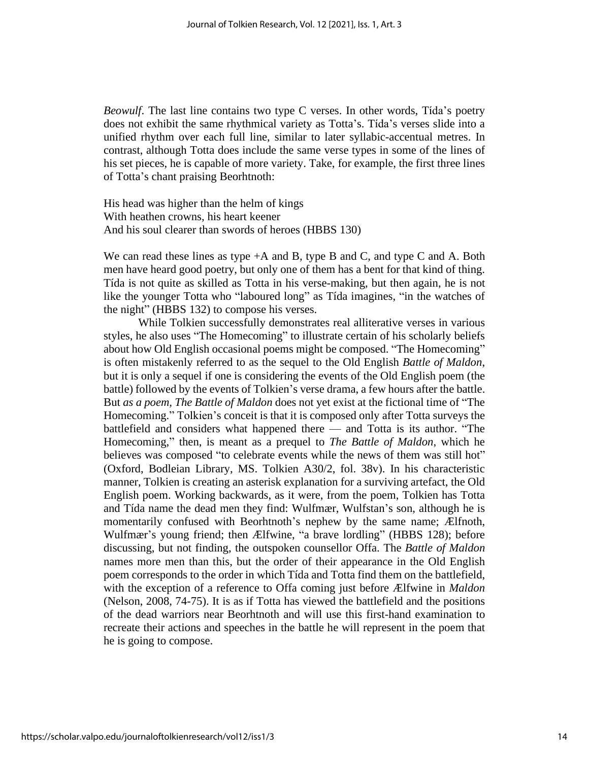*Beowulf*. The last line contains two type C verses. In other words, Tída's poetry does not exhibit the same rhythmical variety as Totta's. Tída's verses slide into a unified rhythm over each full line, similar to later syllabic-accentual metres. In contrast, although Totta does include the same verse types in some of the lines of his set pieces, he is capable of more variety. Take, for example, the first three lines of Totta's chant praising Beorhtnoth:

His head was higher than the helm of kings With heathen crowns, his heart keener And his soul clearer than swords of heroes (HBBS 130)

We can read these lines as type +A and B, type B and C, and type C and A. Both men have heard good poetry, but only one of them has a bent for that kind of thing. Tída is not quite as skilled as Totta in his verse-making, but then again, he is not like the younger Totta who "laboured long" as Tída imagines, "in the watches of the night" (HBBS 132) to compose his verses.

While Tolkien successfully demonstrates real alliterative verses in various styles, he also uses "The Homecoming" to illustrate certain of his scholarly beliefs about how Old English occasional poems might be composed. "The Homecoming" is often mistakenly referred to as the sequel to the Old English *Battle of Maldon*, but it is only a sequel if one is considering the events of the Old English poem (the battle) followed by the events of Tolkien's verse drama, a few hours after the battle. But *as a poem, The Battle of Maldon* does not yet exist at the fictional time of "The Homecoming." Tolkien's conceit is that it is composed only after Totta surveys the battlefield and considers what happened there — and Totta is its author. "The Homecoming," then, is meant as a prequel to *The Battle of Maldon*, which he believes was composed "to celebrate events while the news of them was still hot" (Oxford, Bodleian Library, MS. Tolkien A30/2, fol. 38v). In his characteristic manner, Tolkien is creating an asterisk explanation for a surviving artefact, the Old English poem. Working backwards, as it were, from the poem, Tolkien has Totta and Tída name the dead men they find: Wulfmær, Wulfstan's son, although he is momentarily confused with Beorhtnoth's nephew by the same name; Ælfnoth, Wulfmær's young friend; then Ælfwine, "a brave lordling" (HBBS 128); before discussing, but not finding, the outspoken counsellor Offa. The *Battle of Maldon* names more men than this, but the order of their appearance in the Old English poem corresponds to the order in which Tída and Totta find them on the battlefield, with the exception of a reference to Offa coming just before Ælfwine in *Maldon* (Nelson, 2008, 74-75). It is as if Totta has viewed the battlefield and the positions of the dead warriors near Beorhtnoth and will use this first-hand examination to recreate their actions and speeches in the battle he will represent in the poem that he is going to compose.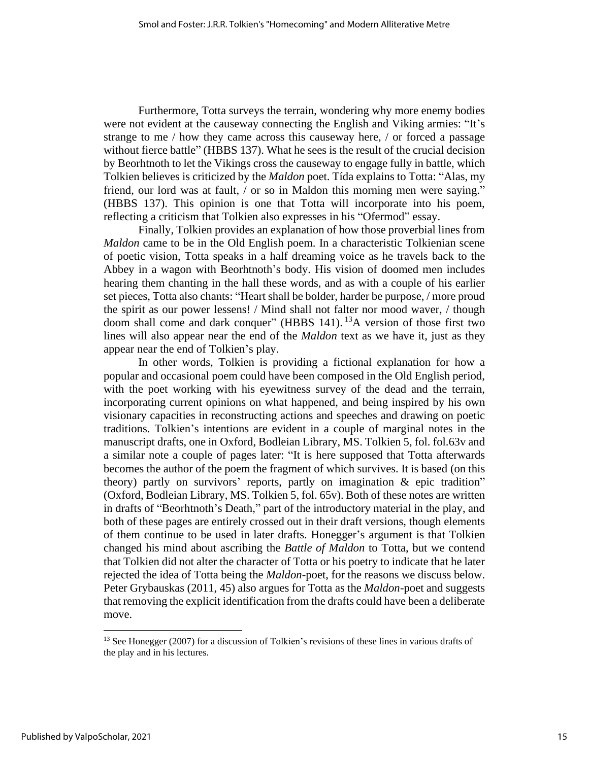Furthermore, Totta surveys the terrain, wondering why more enemy bodies were not evident at the causeway connecting the English and Viking armies: "It's strange to me / how they came across this causeway here, / or forced a passage without fierce battle" (HBBS 137). What he sees is the result of the crucial decision by Beorhtnoth to let the Vikings cross the causeway to engage fully in battle, which Tolkien believes is criticized by the *Maldon* poet. Tída explains to Totta: "Alas, my friend, our lord was at fault, / or so in Maldon this morning men were saying." (HBBS 137). This opinion is one that Totta will incorporate into his poem, reflecting a criticism that Tolkien also expresses in his "Ofermod" essay.

Finally, Tolkien provides an explanation of how those proverbial lines from *Maldon* came to be in the Old English poem. In a characteristic Tolkienian scene of poetic vision, Totta speaks in a half dreaming voice as he travels back to the Abbey in a wagon with Beorhtnoth's body. His vision of doomed men includes hearing them chanting in the hall these words, and as with a couple of his earlier set pieces, Totta also chants: "Heart shall be bolder, harder be purpose, / more proud the spirit as our power lessens! / Mind shall not falter nor mood waver, / though doom shall come and dark conquer" (HBBS 141). <sup>13</sup>A version of those first two lines will also appear near the end of the *Maldon* text as we have it, just as they appear near the end of Tolkien's play.

In other words, Tolkien is providing a fictional explanation for how a popular and occasional poem could have been composed in the Old English period, with the poet working with his eyewitness survey of the dead and the terrain, incorporating current opinions on what happened, and being inspired by his own visionary capacities in reconstructing actions and speeches and drawing on poetic traditions. Tolkien's intentions are evident in a couple of marginal notes in the manuscript drafts, one in Oxford, Bodleian Library, MS. Tolkien 5, fol. fol.63v and a similar note a couple of pages later: "It is here supposed that Totta afterwards becomes the author of the poem the fragment of which survives. It is based (on this theory) partly on survivors' reports, partly on imagination  $\&$  epic tradition" (Oxford, Bodleian Library, MS. Tolkien 5, fol. 65v). Both of these notes are written in drafts of "Beorhtnoth's Death," part of the introductory material in the play, and both of these pages are entirely crossed out in their draft versions, though elements of them continue to be used in later drafts. Honegger's argument is that Tolkien changed his mind about ascribing the *Battle of Maldon* to Totta, but we contend that Tolkien did not alter the character of Totta or his poetry to indicate that he later rejected the idea of Totta being the *Maldon*-poet, for the reasons we discuss below. Peter Grybauskas (2011, 45) also argues for Totta as the *Maldon*-poet and suggests that removing the explicit identification from the drafts could have been a deliberate move.

<sup>&</sup>lt;sup>13</sup> See Honegger (2007) for a discussion of Tolkien's revisions of these lines in various drafts of the play and in his lectures.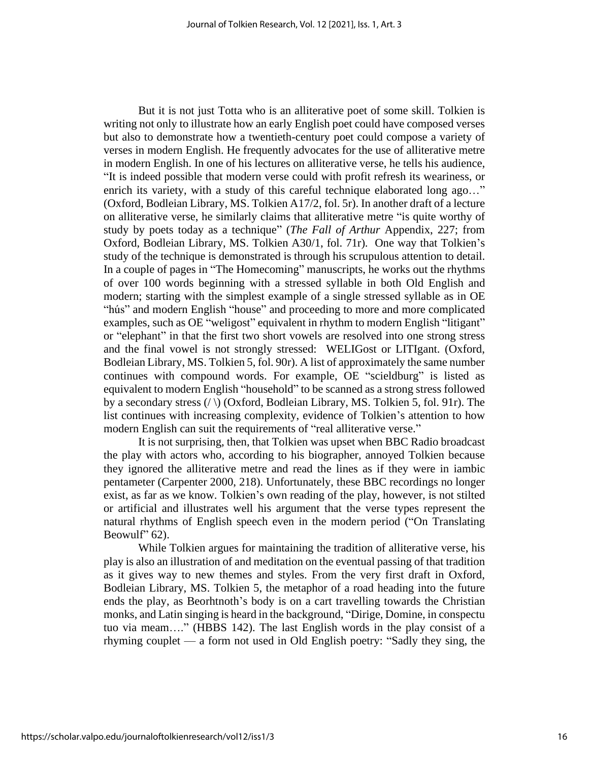But it is not just Totta who is an alliterative poet of some skill. Tolkien is writing not only to illustrate how an early English poet could have composed verses but also to demonstrate how a twentieth-century poet could compose a variety of verses in modern English. He frequently advocates for the use of alliterative metre in modern English. In one of his lectures on alliterative verse, he tells his audience, "It is indeed possible that modern verse could with profit refresh its weariness, or enrich its variety, with a study of this careful technique elaborated long ago..." (Oxford, Bodleian Library, MS. Tolkien A17/2, fol. 5r). In another draft of a lecture on alliterative verse, he similarly claims that alliterative metre "is quite worthy of study by poets today as a technique" (*The Fall of Arthur* Appendix, 227; from Oxford, Bodleian Library, MS. Tolkien A30/1, fol. 71r). One way that Tolkien's study of the technique is demonstrated is through his scrupulous attention to detail. In a couple of pages in "The Homecoming" manuscripts, he works out the rhythms of over 100 words beginning with a stressed syllable in both Old English and modern; starting with the simplest example of a single stressed syllable as in OE "hús" and modern English "house" and proceeding to more and more complicated examples, such as OE "weligost" equivalent in rhythm to modern English "litigant" or "elephant" in that the first two short vowels are resolved into one strong stress and the final vowel is not strongly stressed: WELIGost or LITIgant. (Oxford, Bodleian Library, MS. Tolkien 5, fol. 90r). A list of approximately the same number continues with compound words. For example, OE "scieldburg" is listed as equivalent to modern English "household" to be scanned as a strong stress followed by a secondary stress (/ \) (Oxford, Bodleian Library, MS. Tolkien 5, fol. 91r). The list continues with increasing complexity, evidence of Tolkien's attention to how modern English can suit the requirements of "real alliterative verse."

It is not surprising, then, that Tolkien was upset when BBC Radio broadcast the play with actors who, according to his biographer, annoyed Tolkien because they ignored the alliterative metre and read the lines as if they were in iambic pentameter (Carpenter 2000, 218). Unfortunately, these BBC recordings no longer exist, as far as we know. Tolkien's own reading of the play, however, is not stilted or artificial and illustrates well his argument that the verse types represent the natural rhythms of English speech even in the modern period ("On Translating Beowulf" 62).

While Tolkien argues for maintaining the tradition of alliterative verse, his play is also an illustration of and meditation on the eventual passing of that tradition as it gives way to new themes and styles. From the very first draft in Oxford, Bodleian Library, MS. Tolkien 5, the metaphor of a road heading into the future ends the play, as Beorhtnoth's body is on a cart travelling towards the Christian monks, and Latin singing is heard in the background, "Dirige, Domine, in conspectu tuo via meam…." (HBBS 142). The last English words in the play consist of a rhyming couplet — a form not used in Old English poetry: "Sadly they sing, the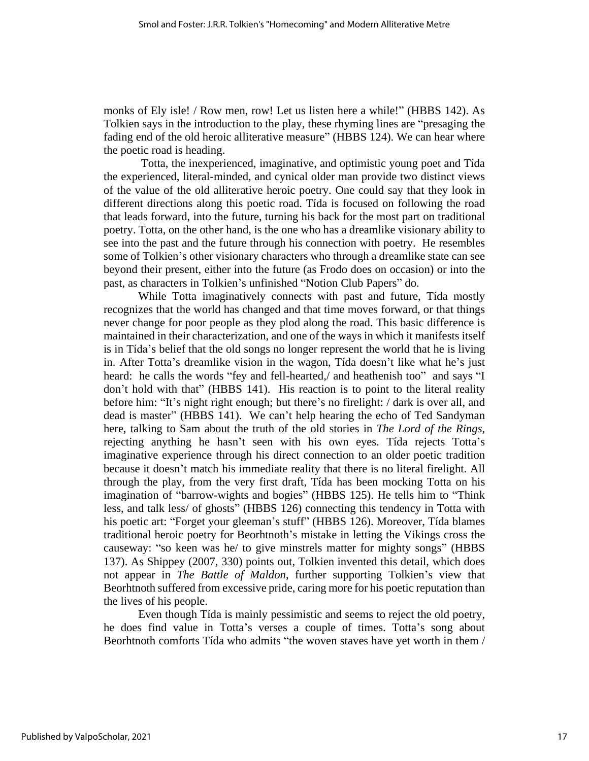monks of Ely isle! / Row men, row! Let us listen here a while!" (HBBS 142). As Tolkien says in the introduction to the play, these rhyming lines are "presaging the fading end of the old heroic alliterative measure" (HBBS 124). We can hear where the poetic road is heading.

Totta, the inexperienced, imaginative, and optimistic young poet and Tída the experienced, literal-minded, and cynical older man provide two distinct views of the value of the old alliterative heroic poetry. One could say that they look in different directions along this poetic road. Tída is focused on following the road that leads forward, into the future, turning his back for the most part on traditional poetry. Totta, on the other hand, is the one who has a dreamlike visionary ability to see into the past and the future through his connection with poetry. He resembles some of Tolkien's other visionary characters who through a dreamlike state can see beyond their present, either into the future (as Frodo does on occasion) or into the past, as characters in Tolkien's unfinished "Notion Club Papers" do.

While Totta imaginatively connects with past and future, Tída mostly recognizes that the world has changed and that time moves forward, or that things never change for poor people as they plod along the road. This basic difference is maintained in their characterization, and one of the ways in which it manifests itself is in Tída's belief that the old songs no longer represent the world that he is living in. After Totta's dreamlike vision in the wagon, Tída doesn't like what he's just heard: he calls the words "fey and fell-hearted,/ and heathenish too" and says "I don't hold with that" (HBBS 141). His reaction is to point to the literal reality before him: "It's night right enough; but there's no firelight: / dark is over all, and dead is master" (HBBS 141). We can't help hearing the echo of Ted Sandyman here, talking to Sam about the truth of the old stories in *The Lord of the Rings*, rejecting anything he hasn't seen with his own eyes. Tída rejects Totta's imaginative experience through his direct connection to an older poetic tradition because it doesn't match his immediate reality that there is no literal firelight. All through the play, from the very first draft, Tída has been mocking Totta on his imagination of "barrow-wights and bogies" (HBBS 125). He tells him to "Think less, and talk less/ of ghosts" (HBBS 126) connecting this tendency in Totta with his poetic art: "Forget your gleeman's stuff" (HBBS 126). Moreover, Tída blames traditional heroic poetry for Beorhtnoth's mistake in letting the Vikings cross the causeway: "so keen was he/ to give minstrels matter for mighty songs" (HBBS 137). As Shippey (2007, 330) points out, Tolkien invented this detail, which does not appear in *The Battle of Maldon*, further supporting Tolkien's view that Beorhtnoth suffered from excessive pride, caring more for his poetic reputation than the lives of his people.

Even though Tída is mainly pessimistic and seems to reject the old poetry, he does find value in Totta's verses a couple of times. Totta's song about Beorhtnoth comforts Tída who admits "the woven staves have yet worth in them /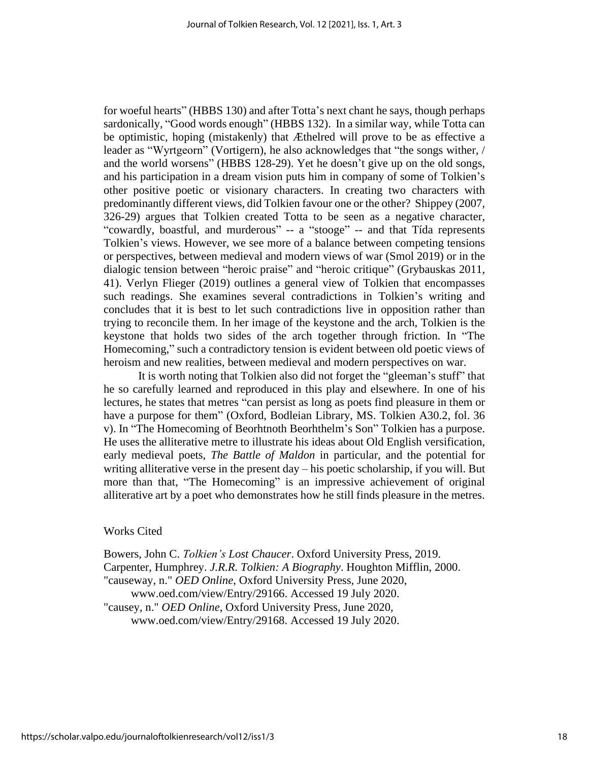for woeful hearts" (HBBS 130) and after Totta's next chant he says, though perhaps sardonically, "Good words enough" (HBBS 132). In a similar way, while Totta can be optimistic, hoping (mistakenly) that Æthelred will prove to be as effective a leader as "Wyrtgeorn" (Vortigern), he also acknowledges that "the songs wither, / and the world worsens" (HBBS 128-29). Yet he doesn't give up on the old songs, and his participation in a dream vision puts him in company of some of Tolkien's other positive poetic or visionary characters. In creating two characters with predominantly different views, did Tolkien favour one or the other? Shippey (2007, 326-29) argues that Tolkien created Totta to be seen as a negative character, "cowardly, boastful, and murderous" -- a "stooge" -- and that Tída represents Tolkien's views. However, we see more of a balance between competing tensions or perspectives, between medieval and modern views of war (Smol 2019) or in the dialogic tension between "heroic praise" and "heroic critique" (Grybauskas 2011, 41). Verlyn Flieger (2019) outlines a general view of Tolkien that encompasses such readings. She examines several contradictions in Tolkien's writing and concludes that it is best to let such contradictions live in opposition rather than trying to reconcile them. In her image of the keystone and the arch, Tolkien is the keystone that holds two sides of the arch together through friction. In "The Homecoming," such a contradictory tension is evident between old poetic views of heroism and new realities, between medieval and modern perspectives on war.

It is worth noting that Tolkien also did not forget the "gleeman's stuff" that he so carefully learned and reproduced in this play and elsewhere. In one of his lectures, he states that metres "can persist as long as poets find pleasure in them or have a purpose for them" (Oxford, Bodleian Library, MS. Tolkien A30.2, fol. 36 v). In "The Homecoming of Beorhtnoth Beorhthelm's Son" Tolkien has a purpose. He uses the alliterative metre to illustrate his ideas about Old English versification, early medieval poets, *The Battle of Maldon* in particular, and the potential for writing alliterative verse in the present day – his poetic scholarship, if you will. But more than that, "The Homecoming" is an impressive achievement of original alliterative art by a poet who demonstrates how he still finds pleasure in the metres.

#### Works Cited

Bowers, John C. *Tolkien's Lost Chaucer*. Oxford University Press, 2019. Carpenter, Humphrey. *J.R.R. Tolkien: A Biography*. Houghton Mifflin, 2000. "causeway, n." *OED Online*, Oxford University Press, June 2020, www.oed.com/view/Entry/29166. Accessed 19 July 2020. "causey, n." *OED Online*, Oxford University Press, June 2020, www.oed.com/view/Entry/29168. Accessed 19 July 2020.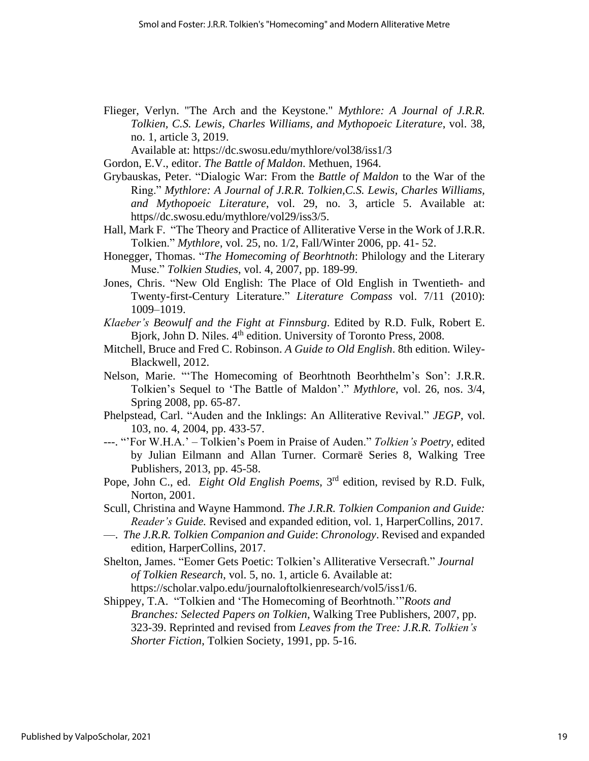Flieger, Verlyn. "The Arch and the Keystone." *Mythlore: A Journal of J.R.R. Tolkien, C.S. Lewis, Charles Williams, and Mythopoeic Literature*, vol. 38, no. 1, article 3, 2019.

Available at: https://dc.swosu.edu/mythlore/vol38/iss1/3

Gordon, E.V., editor. *The Battle of Maldon*. Methuen, 1964.

- Grybauskas, Peter. "Dialogic War: From the *Battle of Maldon* to the War of the Ring." *Mythlore: A Journal of J.R.R. Tolkien,C.S. Lewis, Charles Williams, and Mythopoeic Literature*, vol. 29, no. 3, article 5. Available at: https//dc.swosu.edu/mythlore/vol29/iss3/5.
- Hall, Mark F. "The Theory and Practice of Alliterative Verse in the Work of J.R.R. Tolkien." *Mythlore*, vol. 25, no. 1/2, Fall/Winter 2006, pp. 41- 52.
- Honegger, Thomas. "*The Homecoming of Beorhtnoth*: Philology and the Literary Muse." *Tolkien Studies*, vol. 4, 2007, pp. 189-99.
- Jones, Chris. "New Old English: The Place of Old English in Twentieth- and Twenty-first-Century Literature." *Literature Compass* vol. 7/11 (2010): 1009–1019.
- *Klaeber's Beowulf and the Fight at Finnsburg*. Edited by R.D. Fulk, Robert E. Bjork, John D. Niles. 4<sup>th</sup> edition. University of Toronto Press, 2008.
- Mitchell, Bruce and Fred C. Robinson. *A Guide to Old English*. 8th edition. Wiley-Blackwell, 2012.
- Nelson, Marie. "'The Homecoming of Beorhtnoth Beorhthelm's Son': J.R.R. Tolkien's Sequel to 'The Battle of Maldon'." *Mythlore*, vol. 26, nos. 3/4, Spring 2008, pp. 65-87.
- Phelpstead, Carl. "Auden and the Inklings: An Alliterative Revival." *JEGP,* vol. 103, no. 4, 2004, pp. 433-57.
- ---. "'For W.H.A.' Tolkien's Poem in Praise of Auden." *Tolkien's Poetry*, edited by Julian Eilmann and Allan Turner. Cormarë Series 8, Walking Tree Publishers, 2013, pp. 45-58.
- Pope, John C., ed. *Eight Old English Poems*, 3<sup>rd</sup> edition, revised by R.D. Fulk, Norton, 2001.
- Scull, Christina and Wayne Hammond. *The J.R.R. Tolkien Companion and Guide: Reader's Guide.* Revised and expanded edition, vol. 1, HarperCollins, 2017.
- —. *The J.R.R. Tolkien Companion and Guide*: *Chronology*. Revised and expanded edition, HarperCollins, 2017.
- Shelton, James. "Eomer Gets Poetic: Tolkien's Alliterative Versecraft." *Journal of Tolkien Research*, vol. 5, no. 1, article 6. Available at: https://scholar.valpo.edu/journaloftolkienresearch/vol5/iss1/6.
- Shippey, T.A. "Tolkien and 'The Homecoming of Beorhtnoth.'"*Roots and Branches: Selected Papers on Tolkien*, Walking Tree Publishers, 2007, pp. 323-39. Reprinted and revised from *Leaves from the Tree: J.R.R. Tolkien's Shorter Fiction*, Tolkien Society, 1991, pp. 5-16.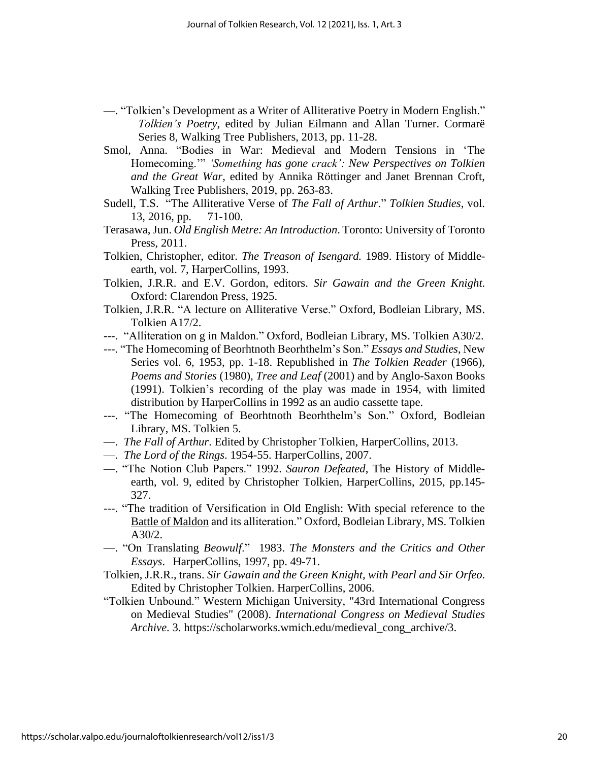- —. "Tolkien's Development as a Writer of Alliterative Poetry in Modern English." *Tolkien's Poetry*, edited by Julian Eilmann and Allan Turner. Cormarë Series 8, Walking Tree Publishers, 2013, pp. 11-28.
- Smol, Anna. "Bodies in War: Medieval and Modern Tensions in 'The Homecoming.'" *'Something has gone crack': New Perspectives on Tolkien and the Great War*, edited by Annika Röttinger and Janet Brennan Croft, Walking Tree Publishers, 2019, pp. 263-83.
- Sudell, T.S. "The Alliterative Verse of *The Fall of Arthur*." *Tolkien Studies*, vol. 13, 2016, pp. 71-100.
- Terasawa,Jun. *Old English Metre: An Introduction*. Toronto: University of Toronto Press, 2011.
- Tolkien, Christopher, editor. *The Treason of Isengard.* 1989. History of Middleearth, vol. 7, HarperCollins, 1993.
- Tolkien, J.R.R. and E.V. Gordon, editors. *Sir Gawain and the Green Knight*. Oxford: Clarendon Press, 1925.
- Tolkien, J.R.R. "A lecture on Alliterative Verse." Oxford, Bodleian Library, MS. Tolkien A17/2.
- ---. "Alliteration on g in Maldon." Oxford, Bodleian Library, MS. Tolkien A30/2.
- ---. "The Homecoming of Beorhtnoth Beorhthelm's Son." *Essays and Studies*, New Series vol. 6, 1953, pp. 1-18. Republished in *The Tolkien Reader* (1966), *Poems and Stories* (1980), *Tree and Leaf* (2001) and by Anglo-Saxon Books (1991). Tolkien's recording of the play was made in 1954, with limited distribution by HarperCollins in 1992 as an audio cassette tape.
- ---. "The Homecoming of Beorhtnoth Beorhthelm's Son." Oxford, Bodleian Library, MS. Tolkien 5.
- —. *The Fall of Arthur*. Edited by Christopher Tolkien, HarperCollins, 2013.
- —. *The Lord of the Rings*. 1954-55. HarperCollins, 2007.
- —. "The Notion Club Papers." 1992. *Sauron Defeated*, The History of Middleearth, vol. 9, edited by Christopher Tolkien, HarperCollins, 2015, pp.145- 327.
- ---. "The tradition of Versification in Old English: With special reference to the Battle of Maldon and its alliteration." Oxford, Bodleian Library, MS. Tolkien A30/2.
- —. "On Translating *Beowulf*." 1983. *The Monsters and the Critics and Other Essays*. HarperCollins, 1997, pp. 49-71.
- Tolkien, J.R.R., trans. *Sir Gawain and the Green Knight, with Pearl and Sir Orfeo*. Edited by Christopher Tolkien. HarperCollins, 2006.
- "Tolkien Unbound." Western Michigan University, "43rd International Congress on Medieval Studies" (2008). *International Congress on Medieval Studies Archive*. 3. https://scholarworks.wmich.edu/medieval\_cong\_archive/3.